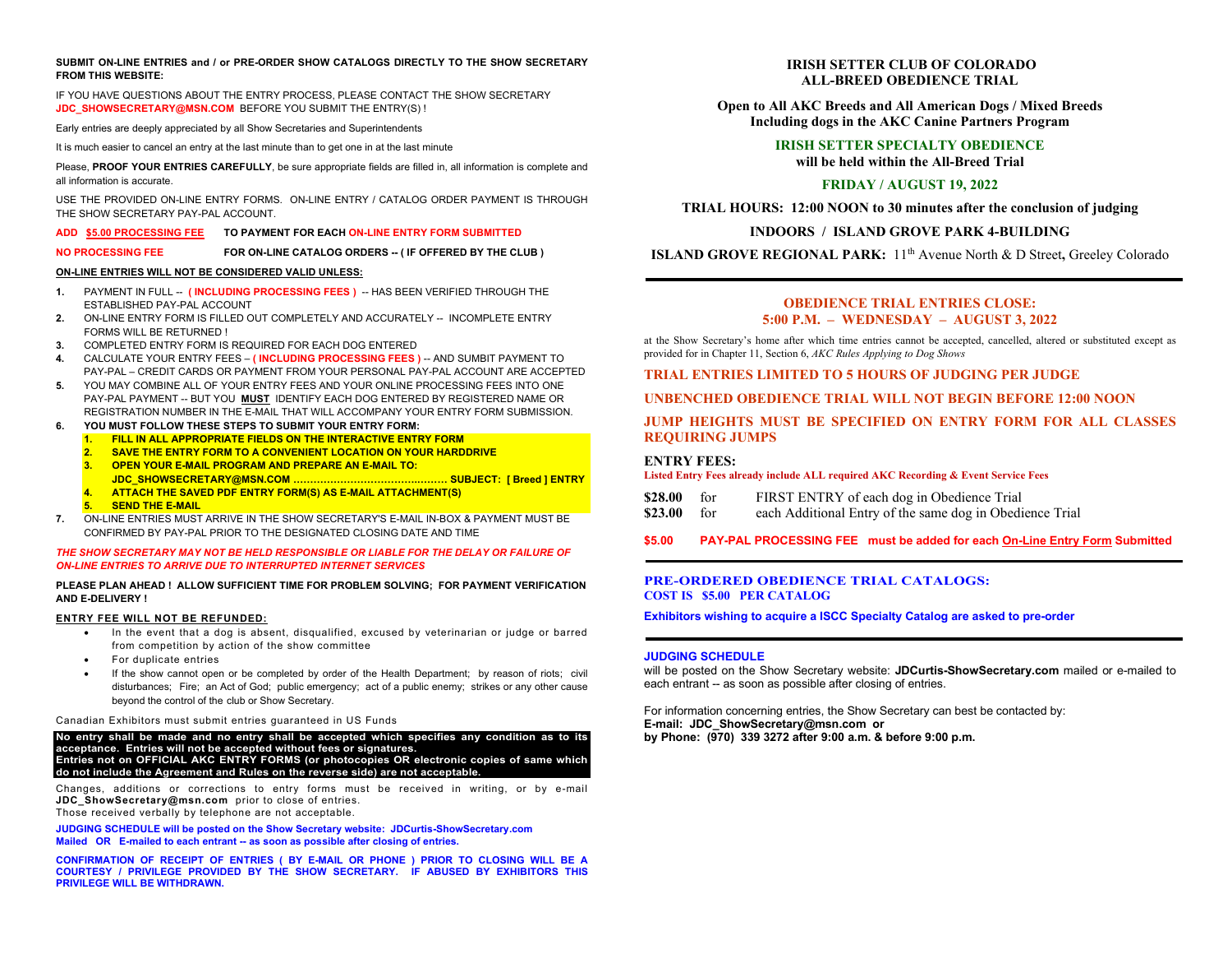#### **SUBMIT ON-LINE ENTRIES and / or PRE-ORDER SHOW CATALOGS DIRECTLY TO THE SHOW SECRETARY FROM THIS WEBSITE:**

IF YOU HAVE QUESTIONS ABOUT THE ENTRY PROCESS, PLEASE CONTACT THE SHOW SECRETARY **[JDC\\_SHOWSECRETARY@MSN.COM](mailto:JDC_SHOWSECRETARY@MSN.COM)** BEFORE YOU SUBMIT THE ENTRY(S) !

Early entries are deeply appreciated by all Show Secretaries and Superintendents

It is much easier to cancel an entry at the last minute than to get one in at the last minute

Please, **PROOF YOUR ENTRIES CAREFULLY**, be sure appropriate fields are filled in, all information is complete and all information is accurate.

USE THE PROVIDED ON-LINE ENTRY FORMS. ON-LINE ENTRY / CATALOG ORDER PAYMENT IS THROUGH THE SHOW SECRETARY PAY-PAL ACCOUNT.

## **ADD \$5.00 PROCESSING FEE TO PAYMENT FOR EACH ON-LINE ENTRY FORM SUBMITTED**

**NO PROCESSING FEE FOR ON-LINE CATALOG ORDERS -- ( IF OFFERED BY THE CLUB )** 

#### **ON-LINE ENTRIES WILL NOT BE CONSIDERED VALID UNLESS:**

- 1. PAYMENT IN FULL -- **( INCLUDING PROCESSING FEES )** -- HAS BEEN VERIFIED THROUGH THE ESTABLISHED PAY-PAL ACCOUNT
- **2.** ON-LINE ENTRY FORM IS FILLED OUT COMPLETELY AND ACCURATELY -- INCOMPLETE ENTRY FORMS WILL BE RETURNED !
- **3.** COMPLETED ENTRY FORM IS REQUIRED FOR EACH DOG ENTERED
- **4.** CALCULATE YOUR ENTRY FEES **( INCLUDING PROCESSING FEES )** -- AND SUMBIT PAYMENT TO PAY-PAL – CREDIT CARDS OR PAYMENT FROM YOUR PERSONAL PAY-PAL ACCOUNT ARE ACCEPTED
- **5.** YOU MAY COMBINE ALL OF YOUR ENTRY FEES AND YOUR ONLINE PROCESSING FEES INTO ONE PAY-PAL PAYMENT -- BUT YOU **MUST** IDENTIFY EACH DOG ENTERED BY REGISTERED NAME OR REGISTRATION NUMBER IN THE E-MAIL THAT WILL ACCOMPANY YOUR ENTRY FORM SUBMISSION.
- **6. YOU MUST FOLLOW THESE STEPS TO SUBMIT YOUR ENTRY FORM:**
	- **1. FILL IN ALL APPROPRIATE FIELDS ON THE INTERACTIVE ENTRY FORM**
	- **2. SAVE THE ENTRY FORM TO A CONVENIENT LOCATION ON YOUR HARDDRIVE**
	- **3. OPEN YOUR E-MAIL PROGRAM AND PREPARE AN E-MAIL TO:**
	- **JDC\_SHOWSECRETARY@MSN.COM ……………………………….……… SUBJECT: [ Breed ] ENTRY 4. ATTACH THE SAVED PDF ENTRY FORM(S) AS E-MAIL ATTACHMENT(S)**
	- **5. SEND THE E-MAIL**
- **7.** ON-LINE ENTRIES MUST ARRIVE IN THE SHOW SECRETARY'S E-MAIL IN-BOX & PAYMENT MUST BE CONFIRMED BY PAY-PAL PRIOR TO THE DESIGNATED CLOSING DATE AND TIME

#### *THE SHOW SECRETARY MAY NOT BE HELD RESPONSIBLE OR LIABLE FOR THE DELAY OR FAILURE OF ON-LINE ENTRIES TO ARRIVE DUE TO INTERRUPTED INTERNET SERVICES*

#### **PLEASE PLAN AHEAD ! ALLOW SUFFICIENT TIME FOR PROBLEM SOLVING; FOR PAYMENT VERIFICATION AND E-DELIVERY !**

## **ENTRY FEE WILL NOT BE REFUNDED:**

- In the event that a dog is absent, disqualified, excused by veterinarian or judge or barred from competition by action of the show committee
- For duplicate entries
- If the show cannot open or be completed by order of the Health Department; by reason of riots; civil disturbances;Fire; an Act of God; public emergency; act of a public enemy; strikes or any other cause beyond the control of the club or Show Secretary.

## Canadian Exhibitors must submit entries guaranteed in US Funds

**No entry shall be made and no entry shall be accepted which specifies any condition as to its acceptance. Entries will not be accepted without fees or signatures. Entries not on OFFICIAL AKC ENTRY FORMS (or photocopies OR electronic copies of same which do not include the Agreement and Rules on the reverse side) are not acceptable.**

Changes, additions or corrections to entry forms must be received in writing, or by e-mail **[JDC\\_ShowSecretary@msn.com](mailto:JDC_ShowSecretary@msn.com)** prior to close of entries.

Those received verbally by telephone are not acceptable.

**JUDGING SCHEDULE will be posted on the Show Secretary website: JDCurtis-ShowSecretary.com Mailed OR E-mailed to each entrant -- as soon as possible after closing of entries.**

**CONFIRMATION OF RECEIPT OF ENTRIES ( BY E-MAIL OR PHONE ) PRIOR TO CLOSING WILL BE A COURTESY / PRIVILEGE PROVIDED BY THE SHOW SECRETARY. IF ABUSED BY EXHIBITORS THIS PRIVILEGE WILL BE WITHDRAWN.**

# **IRISH SETTER CLUB OF COLORADO ALL-BREED OBEDIENCE TRIAL**

**Open to All AKC Breeds and All American Dogs / Mixed Breeds Including dogs in the AKC Canine Partners Program**

## **IRISH SETTER SPECIALTY OBEDIENCE will be held within the All-Breed Trial**

# **FRIDAY / AUGUST 19, 2022**

**TRIAL HOURS: 12:00 NOON to 30 minutes after the conclusion of judging**

**INDOORS / ISLAND GROVE PARK 4-BUILDING**

**ISLAND GROVE REGIONAL PARK:** 11<sup>th</sup> Avenue North & D Street, Greeley Colorado

## **OBEDIENCE TRIAL ENTRIES CLOSE: 5:00 P.M. – WEDNESDAY – AUGUST 3, 2022**

at the Show Secretary's home after which time entries cannot be accepted, cancelled, altered or substituted except as provided for in Chapter 11, Section 6, *AKC Rules Applying to Dog Shows*

**TRIAL ENTRIES LIMITED TO 5 HOURS OF JUDGING PER JUDGE**

**UNBENCHED OBEDIENCE TRIAL WILL NOT BEGIN BEFORE 12:00 NOON**

# **JUMP HEIGHTS MUST BE SPECIFIED ON ENTRY FORM FOR ALL CLASSES REQUIRING JUMPS**

**ENTRY FEES: Listed Entry Fees already include ALL required AKC Recording & Event Service Fees**

| $$28.00$ for |  | FIRST ENTRY of each dog in Obedience Trial |
|--------------|--|--------------------------------------------|
|--------------|--|--------------------------------------------|

**\$23.00** for each Additional Entry of the same dog in Obedience Trial

**\$5.00 PAY-PAL PROCESSING FEE must be added for each On-Line Entry Form Submitted**

## **PRE-ORDERED OBEDIENCE TRIAL CATALOGS: COST IS \$5.00 PER CATALOG**

**Exhibitors wishing to acquire a ISCC Specialty Catalog are asked to pre-order**

#### **JUDGING SCHEDULE**

will be posted on the Show Secretary website: **JDCurtis-ShowSecretary.com** mailed or e-mailed to each entrant -- as soon as possible after closing of entries.

For information concerning entries, the Show Secretary can best be contacted by: **E-mail: JDC\_ShowSecretary@msn.com or by Phone: (970) 339 3272 after 9:00 a.m. & before 9:00 p.m.**